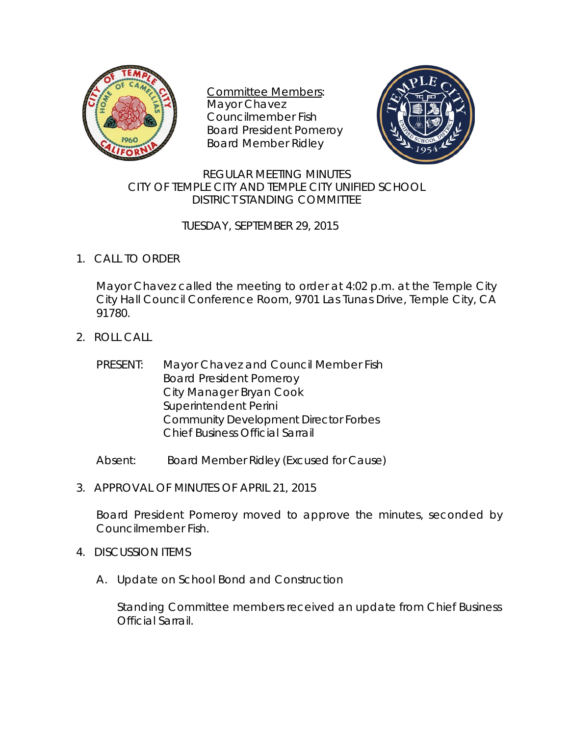

Committee Members: Mayor Chavez Councilmember Fish Board President Pomeroy Board Member Ridley



## REGULAR MEETING MINUTES CITY OF TEMPLE CITY AND TEMPLE CITY UNIFIED SCHOOL DISTRICT STANDING COMMITTEE

## TUESDAY, SEPTEMBER 29, 2015

1. CALL TO ORDER

Mayor Chavez called the meeting to order at 4:02 p.m. at the Temple City City Hall Council Conference Room, 9701 Las Tunas Drive, Temple City, CA 91780.

- 2. ROLL CALL
	- PRESENT: Mayor Chavez and Council Member Fish Board President Pomeroy City Manager Bryan Cook Superintendent Perini Community Development Director Forbes Chief Business Official Sarrail
	- Absent: Board Member Ridley (Excused for Cause)
- 3. APPROVAL OF MINUTES OF APRIL 21, 2015

Board President Pomeroy moved to approve the minutes, seconded by Councilmember Fish.

- 4. DISCUSSION ITEMS
	- A. Update on School Bond and Construction

Standing Committee members received an update from Chief Business Official Sarrail.